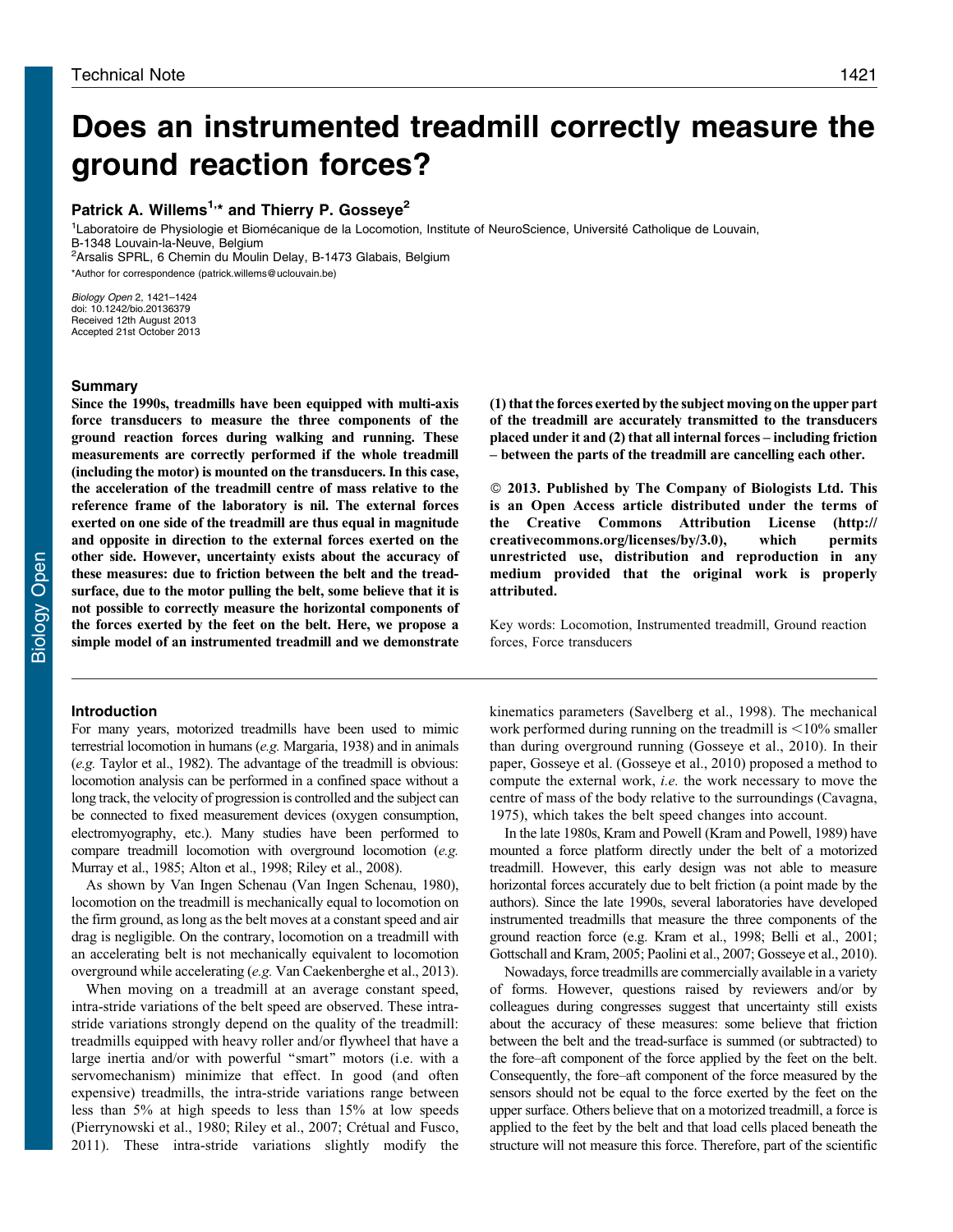# Does an instrumented treadmill correctly measure the ground reaction forces?

## Patrick A. Willems<sup>1,\*</sup> and Thierry P. Gosseye<sup>2</sup>

<sup>1</sup> Laboratoire de Physiologie et Biomécanique de la Locomotion, Institute of NeuroScience, Université Catholique de Louvain, B-1348 Louvain-la-Neuve, Belgium 2 Arsalis SPRL, 6 Chemin du Moulin Delay, B-1473 Glabais, Belgium

\*Author for correspondence ([patrick.willems@uclouvain.be](mailto:patrick.willems@uclouvain.be))

Biology Open 2, 1421–1424 doi: 10.1242/bio.20136379 Received 12th August 2013 Accepted 21st October 2013

#### Summary

Since the 1990s, treadmills have been equipped with multi-axis force transducers to measure the three components of the ground reaction forces during walking and running. These measurements are correctly performed if the whole treadmill (including the motor) is mounted on the transducers. In this case, the acceleration of the treadmill centre of mass relative to the reference frame of the laboratory is nil. The external forces exerted on one side of the treadmill are thus equal in magnitude and opposite in direction to the external forces exerted on the other side. However, uncertainty exists about the accuracy of these measures: due to friction between the belt and the treadsurface, due to the motor pulling the belt, some believe that it is not possible to correctly measure the horizontal components of the forces exerted by the feet on the belt. Here, we propose a simple model of an instrumented treadmill and we demonstrate

## Introduction

For many years, motorized treadmills have been used to mimic terrestrial locomotion in humans (e.g. [Margaria, 1938](#page-3-0)) and in animals (e.g. [Taylor et al., 1982\)](#page-3-0). The advantage of the treadmill is obvious: locomotion analysis can be performed in a confined space without a long track, the velocity of progression is controlled and the subject can be connected to fixed measurement devices (oxygen consumption, electromyography, etc.). Many studies have been performed to compare treadmill locomotion with overground locomotion (e.g. [Murray et al., 1985](#page-3-0); [Alton et al., 1998](#page-3-0); [Riley et al., 2008](#page-3-0)).

As shown by Van Ingen Schenau ([Van Ingen Schenau, 1980\)](#page-3-0), locomotion on the treadmill is mechanically equal to locomotion on the firm ground, as long as the belt moves at a constant speed and air drag is negligible. On the contrary, locomotion on a treadmill with an accelerating belt is not mechanically equivalent to locomotion overground while accelerating (e.g. [Van Caekenberghe et al., 2013\)](#page-3-0).

When moving on a treadmill at an average constant speed, intra-stride variations of the belt speed are observed. These intrastride variations strongly depend on the quality of the treadmill: treadmills equipped with heavy roller and/or flywheel that have a large inertia and/or with powerful "smart" motors (i.e. with a servomechanism) minimize that effect. In good (and often expensive) treadmills, the intra-stride variations range between less than 5% at high speeds to less than 15% at low speeds ([Pierrynowski et al., 1980](#page-3-0); [Riley et al., 2007](#page-3-0); Crétual and Fusco, [2011\)](#page-3-0). These intra-stride variations slightly modify the

(1) that the forces exerted by the subject moving on the upper part of the treadmill are accurately transmitted to the transducers placed under it and (2) that all internal forces – including friction – between the parts of the treadmill are cancelling each other.

 $©$  2013. Published by The Company of Biologists Ltd. This is an Open Access article distributed under the terms of the Creative Commons Attribution License ([http://](http://creativecommons.org/licenses/by/3.0) [creativecommons.org/licenses/by/3.0\)](http://creativecommons.org/licenses/by/3.0), which permits unrestricted use, distribution and reproduction in any medium provided that the original work is properly attributed.

Key words: Locomotion, Instrumented treadmill, Ground reaction forces, Force transducers

kinematics parameters ([Savelberg et al., 1998](#page-3-0)). The mechanical work performed during running on the treadmill is  $\leq 10\%$  smaller than during overground running [\(Gosseye et al., 2010](#page-3-0)). In their paper, Gosseye et al. [\(Gosseye et al., 2010](#page-3-0)) proposed a method to compute the external work, i.e. the work necessary to move the centre of mass of the body relative to the surroundings [\(Cavagna,](#page-3-0) [1975\)](#page-3-0), which takes the belt speed changes into account.

In the late 1980s, Kram and Powell [\(Kram and Powell, 1989\)](#page-3-0) have mounted a force platform directly under the belt of a motorized treadmill. However, this early design was not able to measure horizontal forces accurately due to belt friction (a point made by the authors). Since the late 1990s, several laboratories have developed instrumented treadmills that measure the three components of the ground reaction force (e.g. [Kram et al., 1998](#page-3-0); [Belli et al., 2001](#page-3-0); [Gottschall and Kram, 2005; Paolini et al., 2007; Gosseye et al., 2010\)](#page-3-0).

Nowadays, force treadmills are commercially available in a variety of forms. However, questions raised by reviewers and/or by colleagues during congresses suggest that uncertainty still exists about the accuracy of these measures: some believe that friction between the belt and the tread-surface is summed (or subtracted) to the fore–aft component of the force applied by the feet on the belt. Consequently, the fore–aft component of the force measured by the sensors should not be equal to the force exerted by the feet on the upper surface. Others believe that on a motorized treadmill, a force is applied to the feet by the belt and that load cells placed beneath the structure will not measure this force. Therefore, part of the scientific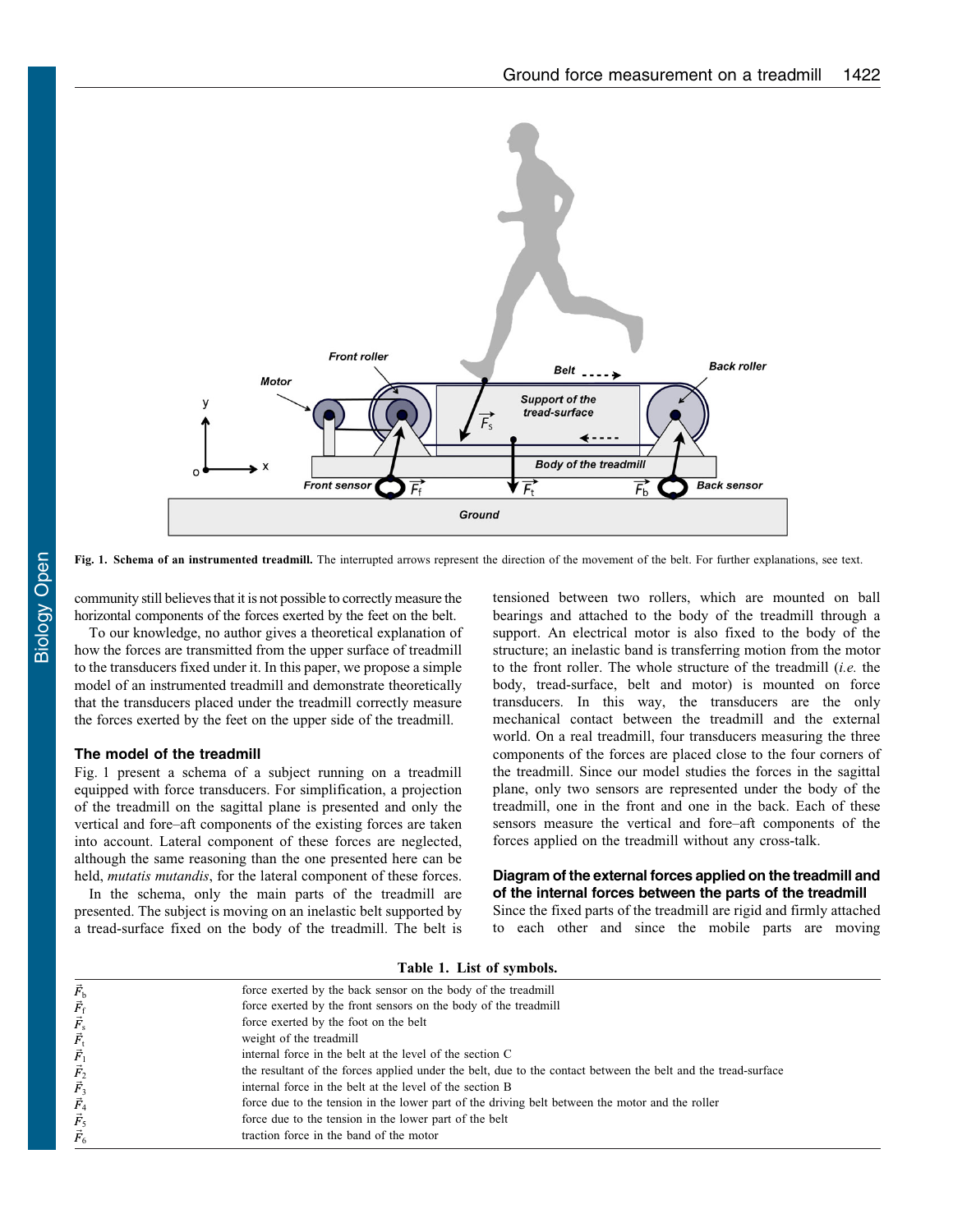<span id="page-1-0"></span>

Fig. 1. Schema of an instrumented treadmill. The interrupted arrows represent the direction of the movement of the belt. For further explanations, see text.

community still believes that it is not possible to correctly measure the horizontal components of the forces exerted by the feet on the belt.

To our knowledge, no author gives a theoretical explanation of how the forces are transmitted from the upper surface of treadmill to the transducers fixed under it. In this paper, we propose a simple model of an instrumented treadmill and demonstrate theoretically that the transducers placed under the treadmill correctly measure the forces exerted by the feet on the upper side of the treadmill.

### The model of the treadmill

Fig. 1 present a schema of a subject running on a treadmill equipped with force transducers. For simplification, a projection of the treadmill on the sagittal plane is presented and only the vertical and fore–aft components of the existing forces are taken into account. Lateral component of these forces are neglected, although the same reasoning than the one presented here can be held, mutatis mutandis, for the lateral component of these forces.

In the schema, only the main parts of the treadmill are presented. The subject is moving on an inelastic belt supported by a tread-surface fixed on the body of the treadmill. The belt is tensioned between two rollers, which are mounted on ball bearings and attached to the body of the treadmill through a support. An electrical motor is also fixed to the body of the structure; an inelastic band is transferring motion from the motor to the front roller. The whole structure of the treadmill (i.e. the body, tread-surface, belt and motor) is mounted on force transducers. In this way, the transducers are the only mechanical contact between the treadmill and the external world. On a real treadmill, four transducers measuring the three components of the forces are placed close to the four corners of the treadmill. Since our model studies the forces in the sagittal plane, only two sensors are represented under the body of the treadmill, one in the front and one in the back. Each of these sensors measure the vertical and fore–aft components of the forces applied on the treadmill without any cross-talk.

# Diagram of the external forces applied on the treadmill and of the internal forces between the parts of the treadmill Since the fixed parts of the treadmill are rigid and firmly attached

to each other and since the mobile parts are moving

| $-$ 000 $-$ 0.000 $-$ 0.000 $-$ 0.000 $-$ 0.000 $-$ 0.000 $-$ 0.000 $-$ 0.000 $-$ 0.000 $-$ 0.000 $-$ 0.000 $-$ 0.000 $-$ 0.000 $-$ 0.000 $-$ 0.000 $-$ 0.000 $-$ 0.000 $-$ 0.000 $-$ 0.000 $-$ 0.000 $-$ 0.000 $-$ 0.000 $-$ |                                                                                                               |
|-------------------------------------------------------------------------------------------------------------------------------------------------------------------------------------------------------------------------------|---------------------------------------------------------------------------------------------------------------|
| $\hat{F}_{\rm h}$                                                                                                                                                                                                             | force exerted by the back sensor on the body of the treadmill                                                 |
| $\vec{F}_{\mathrm{f}}$                                                                                                                                                                                                        | force exerted by the front sensors on the body of the treadmill                                               |
| $\vec{F}_{\rm s}$                                                                                                                                                                                                             | force exerted by the foot on the belt                                                                         |
| $\hat{F}_{\rm t}$                                                                                                                                                                                                             | weight of the treadmill                                                                                       |
| $\vec{F}$                                                                                                                                                                                                                     | internal force in the belt at the level of the section C                                                      |
| $\vec{F}_2$                                                                                                                                                                                                                   | the resultant of the forces applied under the belt, due to the contact between the belt and the tread-surface |
| $\vec{F}_3$                                                                                                                                                                                                                   | internal force in the belt at the level of the section B                                                      |
| $\vec{F}_4$                                                                                                                                                                                                                   | force due to the tension in the lower part of the driving belt between the motor and the roller               |
| $\vec{F}_5$                                                                                                                                                                                                                   | force due to the tension in the lower part of the belt                                                        |
| $\vec{F}_6$                                                                                                                                                                                                                   | traction force in the band of the motor                                                                       |
|                                                                                                                                                                                                                               |                                                                                                               |

Table 1. List of symbols.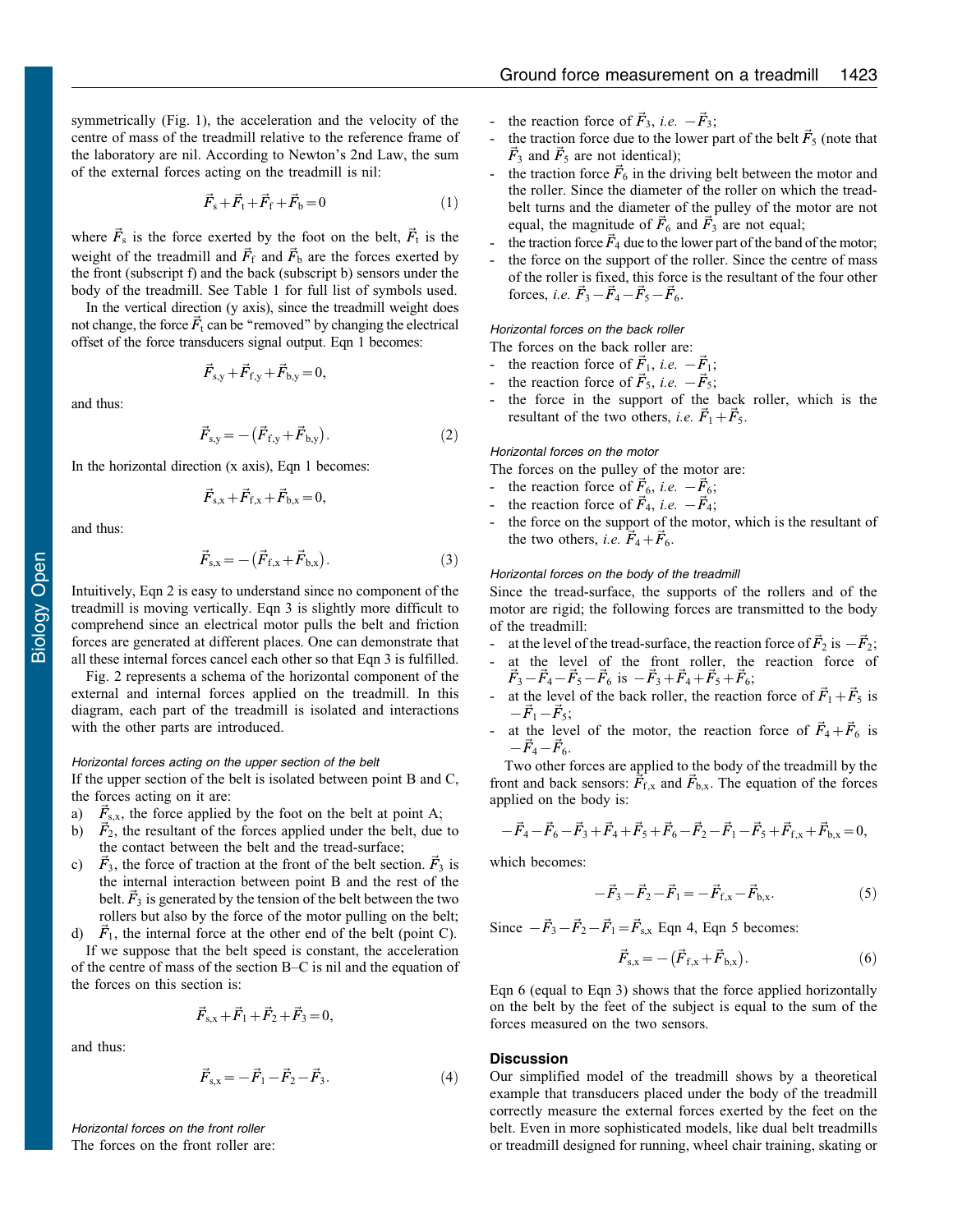symmetrically [\(Fig. 1\)](#page-1-0), the acceleration and the velocity of the centre of mass of the treadmill relative to the reference frame of the laboratory are nil. According to Newton's 2nd Law, the sum of the external forces acting on the treadmill is nil:

$$
\vec{F}_{s} + \vec{F}_{t} + \vec{F}_{f} + \vec{F}_{b} = 0
$$
\n(1)

where  $\vec{F}_s$  is the force exerted by the foot on the belt,  $\vec{F}_t$  is the weight of the treadmill and  $\vec{F}_f$  and  $\vec{F}_b$  are the forces exerted by the front (subscript f) and the back (subscript b) sensors under the body of the treadmill. See [Table 1](#page-1-0) for full list of symbols used.

In the vertical direction (y axis), since the treadmill weight does not change, the force  $\vec{F}_t$  can be "removed" by changing the electrical offset of the force transducers signal output. Eqn 1 becomes:

$$
\vec{F}_{s,y} + \vec{F}_{f,y} + \vec{F}_{b,y} = 0,
$$

and thus:

$$
\vec{F}_{s,y} = -(\vec{F}_{f,y} + \vec{F}_{b,y}).
$$
\n(2)

In the horizontal direction (x axis), Eqn 1 becomes:

$$
\vec{F}_{s,x} + \vec{F}_{f,x} + \vec{F}_{b,x} = 0,
$$

and thus:

$$
\vec{F}_{s,x} = -(\vec{F}_{f,x} + \vec{F}_{b,x}).
$$
\n(3)

Intuitively, Eqn 2 is easy to understand since no component of the treadmill is moving vertically. Eqn 3 is slightly more difficult to comprehend since an electrical motor pulls the belt and friction forces are generated at different places. One can demonstrate that all these internal forces cancel each other so that Eqn 3 is fulfilled.

[Fig. 2](#page-3-0) represents a schema of the horizontal component of the external and internal forces applied on the treadmill. In this diagram, each part of the treadmill is isolated and interactions with the other parts are introduced.

#### Horizontal forces acting on the upper section of the belt

If the upper section of the belt is isolated between point B and C, the forces acting on it are:

- a)  $\vec{F}_{s,x}$ , the force applied by the foot on the belt at point A;
- b)  $\vec{F}_2$ , the resultant of the forces applied under the belt, due to the contact between the belt and the tread-surface;
- c)  $\vec{F}_3$ , the force of traction at the front of the belt section.  $\vec{F}_3$  is the internal interaction between point B and the rest of the belt.  $\vec{F}_3$  is generated by the tension of the belt between the two rollers but also by the force of the motor pulling on the belt;

d)  $\vec{F}_1$ , the internal force at the other end of the belt (point C). If we suppose that the belt speed is constant, the acceleration of the centre of mass of the section B–C is nil and the equation of the forces on this section is:

$$
\vec{F}_{s,x} + \vec{F}_1 + \vec{F}_2 + \vec{F}_3 = 0,
$$

and thus:

$$
\vec{F}_{s,x} = -\vec{F}_1 - \vec{F}_2 - \vec{F}_3. \tag{4}
$$

Horizontal forces on the front roller The forces on the front roller are:

- the reaction force of  $\vec{F}_3$ , *i.e.*  $\vec{F}_3$ ;
- the traction force due to the lower part of the belt  $\vec{F}_5$  (note that  $\vec{F}_3$  and  $\vec{F}_5$  are not identical);
- the traction force  $\vec{F}_6$  in the driving belt between the motor and the roller. Since the diameter of the roller on which the treadbelt turns and the diameter of the pulley of the motor are not equal, the magnitude of  $\vec{F}_6$  and  $\vec{F}_3$  are not equal;
- the traction force  $\vec{F}_4$  due to the lower part of the band of the motor;
- the force on the support of the roller. Since the centre of mass of the roller is fixed, this force is the resultant of the four other forces, *i.e.*  $\vec{F}_3 - \vec{F}_4 - \vec{F}_5 - \vec{F}_6$ .

#### Horizontal forces on the back roller

The forces on the back roller are:

- the reaction force of  $\vec{F}_1$ , *i.e.*  $\vec{F}_1$ ;
- the reaction force of  $\vec{F}_5$ , *i.e.*  $\vec{F}_5$ ;
- the force in the support of the back roller, which is the resultant of the two others, *i.e.*  $\vec{F}_1 + \vec{F}_5$ .

#### Horizontal forces on the motor

The forces on the pulley of the motor are:

- the reaction force of  $\vec{F}_6$ , i.e.  $\vec{F}_6$ ;
- the reaction force of  $\vec{F}_4$ , *i.e.*  $\vec{F}_4$ ;
- the force on the support of the motor, which is the resultant of the two others, *i.e.*  $\vec{F}_4 + \vec{F}_6$ .

#### Horizontal forces on the body of the treadmill

Since the tread-surface, the supports of the rollers and of the motor are rigid; the following forces are transmitted to the body of the treadmill:

- at the level of the tread-surface, the reaction force of  $\vec{F}_2$  is  $-\vec{F}_2$ ;
- at the level of the front roller, the reaction force of  $\vec{F}_3-\vec{F}_4-\vec{F}_5-\vec{F}_6$  is  $-\vec{F}_3+\vec{F}_4+\vec{F}_5+\vec{F}_6$ ;
- at the level of the back roller, the reaction force of  $\vec{F}_1 + \vec{F}_5$  is  $-F_1-F_5;$
- at the level of the motor, the reaction force of  $\vec{F}_4+\vec{F}_6$  is  ${-\vec{F}_4-\vec{F}_6}.$

Two other forces are applied to the body of the treadmill by the front and back sensors:  $\vec{F}_{f,x}$  and  $\vec{F}_{b,x}$ . The equation of the forces applied on the body is:

$$
-\vec{F}_4 - \vec{F}_6 - \vec{F}_3 + \vec{F}_4 + \vec{F}_5 + \vec{F}_6 - \vec{F}_2 - \vec{F}_1 - \vec{F}_5 + \vec{F}_{f,x} + \vec{F}_{b,x} = 0,
$$

which becomes:

$$
-\vec{F}_3 - \vec{F}_2 - \vec{F}_1 = -\vec{F}_{f,x} - \vec{F}_{b,x}.
$$
 (5)

Since  $-\vec{F}_3-\vec{F}_2-\vec{F}_1=\vec{F}_{sx}$  Eqn 4, Eqn 5 becomes:

$$
\vec{F}_{s,x} = -(\vec{F}_{f,x} + \vec{F}_{b,x}).
$$
\n(6)

Eqn 6 (equal to Eqn 3) shows that the force applied horizontally on the belt by the feet of the subject is equal to the sum of the forces measured on the two sensors.

#### **Discussion**

Our simplified model of the treadmill shows by a theoretical example that transducers placed under the body of the treadmill correctly measure the external forces exerted by the feet on the belt. Even in more sophisticated models, like dual belt treadmills or treadmill designed for running, wheel chair training, skating or